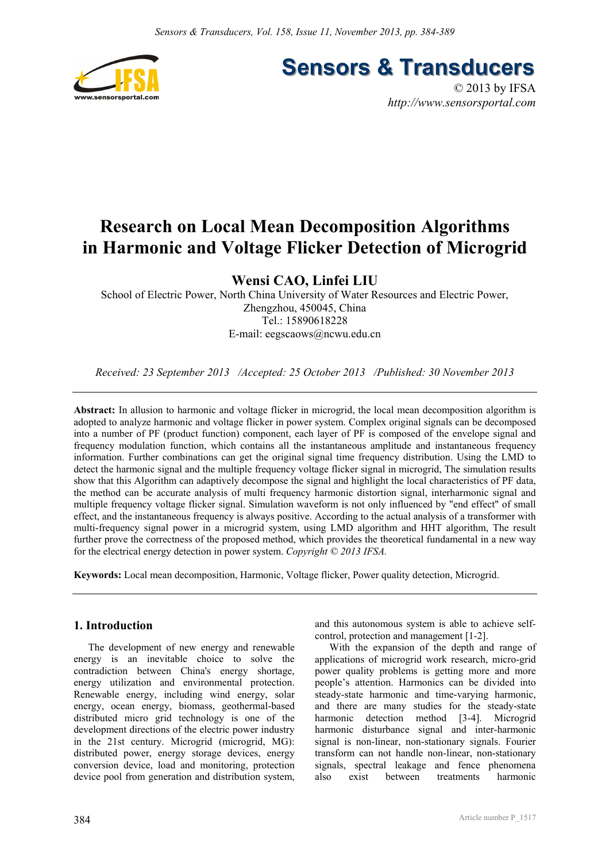

**Sensors & Transducers** 

© 2013 by IFSA *http://www.sensorsportal.com*

# **Research on Local Mean Decomposition Algorithms in Harmonic and Voltage Flicker Detection of Microgrid**

**Wensi CAO, Linfei LIU** 

School of Electric Power, North China University of Water Resources and Electric Power, Zhengzhou, 450045, China Tel.: 15890618228 E-mail: eegscaows@ncwu.edu.cn

*Received: 23 September 2013 /Accepted: 25 October 2013 /Published: 30 November 2013* 

**Abstract:** In allusion to harmonic and voltage flicker in microgrid, the local mean decomposition algorithm is adopted to analyze harmonic and voltage flicker in power system. Complex original signals can be decomposed into a number of PF (product function) component, each layer of PF is composed of the envelope signal and frequency modulation function, which contains all the instantaneous amplitude and instantaneous frequency information. Further combinations can get the original signal time frequency distribution. Using the LMD to detect the harmonic signal and the multiple frequency voltage flicker signal in microgrid, The simulation results show that this Algorithm can adaptively decompose the signal and highlight the local characteristics of PF data, the method can be accurate analysis of multi frequency harmonic distortion signal, interharmonic signal and multiple frequency voltage flicker signal. Simulation waveform is not only influenced by "end effect" of small effect, and the instantaneous frequency is always positive. According to the actual analysis of a transformer with multi-frequency signal power in a microgrid system, using LMD algorithm and HHT algorithm, The result further prove the correctness of the proposed method, which provides the theoretical fundamental in a new way for the electrical energy detection in power system. *Copyright © 2013 IFSA.*

**Keywords:** Local mean decomposition, Harmonic, Voltage flicker, Power quality detection, Microgrid.

# **1. Introduction**

The development of new energy and renewable energy is an inevitable choice to solve the contradiction between China's energy shortage, energy utilization and environmental protection. Renewable energy, including wind energy, solar energy, ocean energy, biomass, geothermal-based distributed micro grid technology is one of the development directions of the electric power industry in the 21st century. Microgrid (microgrid, MG): distributed power, energy storage devices, energy conversion device, load and monitoring, protection device pool from generation and distribution system, and this autonomous system is able to achieve selfcontrol, protection and management [1-2].

With the expansion of the depth and range of applications of microgrid work research, micro-grid power quality problems is getting more and more people's attention. Harmonics can be divided into steady-state harmonic and time-varying harmonic, and there are many studies for the steady-state harmonic detection method [3-4]. Microgrid harmonic disturbance signal and inter-harmonic signal is non-linear, non-stationary signals. Fourier transform can not handle non-linear, non-stationary signals, spectral leakage and fence phenomena also exist between treatments harmonic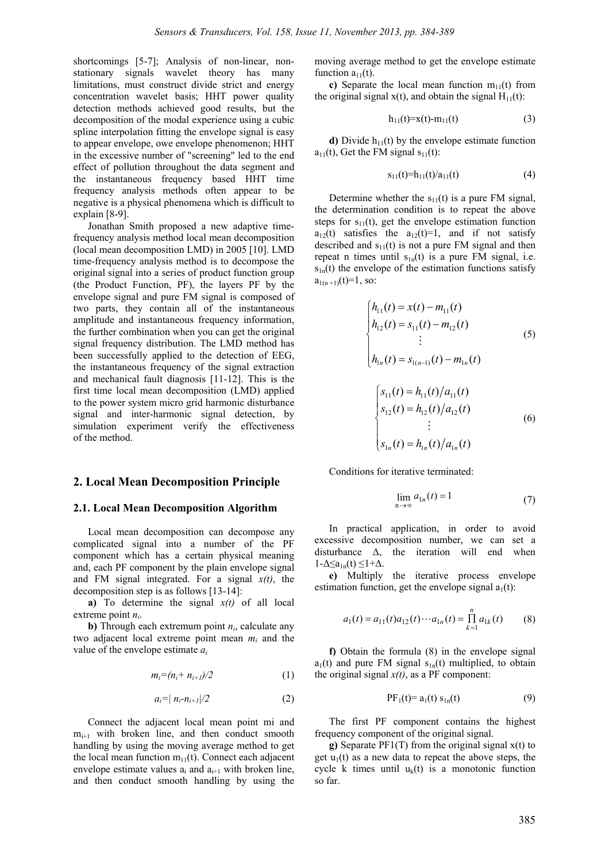shortcomings [5-7]; Analysis of non-linear, nonstationary signals wavelet theory has many limitations, must construct divide strict and energy concentration wavelet basis; HHT power quality detection methods achieved good results, but the decomposition of the modal experience using a cubic spline interpolation fitting the envelope signal is easy to appear envelope, owe envelope phenomenon; HHT in the excessive number of "screening" led to the end effect of pollution throughout the data segment and the instantaneous frequency based HHT time frequency analysis methods often appear to be negative is a physical phenomena which is difficult to explain [8-9].

Jonathan Smith proposed a new adaptive timefrequency analysis method local mean decomposition (local mean decomposition LMD) in 2005 [10]. LMD time-frequency analysis method is to decompose the original signal into a series of product function group (the Product Function, PF), the layers PF by the envelope signal and pure FM signal is composed of two parts, they contain all of the instantaneous amplitude and instantaneous frequency information, the further combination when you can get the original signal frequency distribution. The LMD method has been successfully applied to the detection of EEG, the instantaneous frequency of the signal extraction and mechanical fault diagnosis [11-12]. This is the first time local mean decomposition (LMD) applied to the power system micro grid harmonic disturbance signal and inter-harmonic signal detection, by simulation experiment verify the effectiveness of the method.

# **2. Local Mean Decomposition Principle**

#### **2.1. Local Mean Decomposition Algorithm**

Local mean decomposition can decompose any complicated signal into a number of the PF component which has a certain physical meaning and, each PF component by the plain envelope signal and FM signal integrated. For a signal *x(t)*, the decomposition step is as follows [13-14]:

**a)** To determine the signal  $x(t)$  of all local extreme point *ni*.

**b**) Through each extremum point  $n_i$ , calculate any two adjacent local extreme point mean *mi* and the value of the envelope estimate *ai*

$$
m_i = (n_i + n_{i+1})/2 \tag{1}
$$

$$
a_i = |n_i - n_{i+1}|/2 \tag{2}
$$

Connect the adjacent local mean point mi and  $m_{i+1}$  with broken line, and then conduct smooth handling by using the moving average method to get the local mean function  $m_{11}(t)$ . Connect each adjacent envelope estimate values  $a_i$  and  $a_{i+1}$  with broken line, and then conduct smooth handling by using the

moving average method to get the envelope estimate function  $a_{11}(t)$ .

**c)** Separate the local mean function  $m_{11}(t)$  from the original signal  $x(t)$ , and obtain the signal  $H_{11}(t)$ :

$$
h_{11}(t)=x(t)-m_{11}(t) \tag{3}
$$

**d**) Divide  $h_{11}(t)$  by the envelope estimate function  $a_{11}(t)$ , Get the FM signal  $s_{11}(t)$ :

$$
s_{11}(t)=h_{11}(t)/a_{11}(t) \tag{4}
$$

Determine whether the  $s_{11}(t)$  is a pure FM signal, the determination condition is to repeat the above steps for  $s_{11}(t)$ , get the envelope estimation function  $a_{12}(t)$  satisfies the  $a_{12}(t)=1$ , and if not satisfy described and  $s_{11}(t)$  is not a pure FM signal and then repeat n times until  $s<sub>1n</sub>(t)$  is a pure FM signal, i.e.  $s<sub>1n</sub>(t)$  the envelope of the estimation functions satisfy  $a_{1(n+1)}(t)=1$ , so:

$$
\begin{cases}\nh_{11}(t) = x(t) - m_{11}(t) \\
h_{12}(t) = s_{11}(t) - m_{12}(t) \\
\vdots\n\end{cases}
$$
\n(5)  
\n
$$
h_{1n}(t) = s_{1(n-1)}(t) - m_{1n}(t)
$$
\n
$$
\begin{cases}\ns_{11}(t) = h_{11}(t)/a_{11}(t) \\
s_{12}(t) = h_{12}(t)/a_{12}(t) \\
\vdots\n\end{cases}
$$
\n(6)

Conditions for iterative terminated:

 $\overline{a}$  $\frac{1}{2}$ 

$$
\lim_{n \to \infty} a_{1n}(t) = 1 \tag{7}
$$

In practical application, in order to avoid excessive decomposition number, we can set a disturbance ∆, the iteration will end when  $1-\Delta \leq a_{1n}(t) \leq 1+\Delta$ .

 $\int s_{1n}(t) = h_{1n}(t)/a_{1n}(t)$ 

**e)** Multiply the iterative process envelope estimation function, get the envelope signal  $a_1(t)$ :

$$
a_1(t) = a_{11}(t)a_{12}(t)\cdots a_{1n}(t) = \prod_{k=1}^{n} a_{1k}(t) \qquad (8)
$$

**f)** Obtain the formula (8) in the envelope signal  $a_1(t)$  and pure FM signal  $s_{1n}(t)$  multiplied, to obtain the original signal  $x(t)$ , as a PF component:

$$
PF_1(t) = a_1(t) s_{1n}(t)
$$
 (9)

The first PF component contains the highest frequency component of the original signal.

**g)** Separate PF1(T) from the original signal x(t) to get  $u_1(t)$  as a new data to repeat the above steps, the cycle k times until  $u_k(t)$  is a monotonic function so far.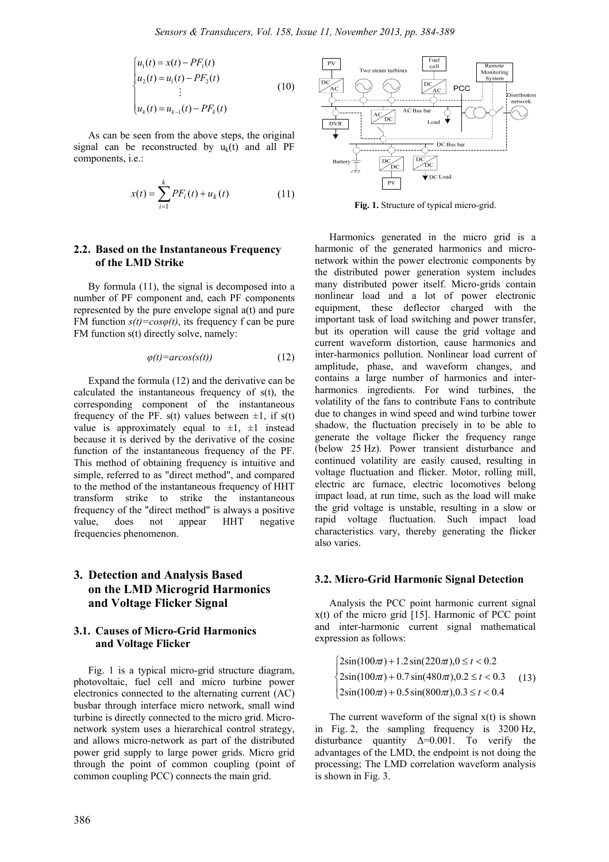$$
\begin{cases}\n u_1(t) = x(t) - PF_1(t) \\
 u_2(t) = u_1(t) - PF_2(t) \\
 \vdots \\
 u_k(t) = u_{k-1}(t) - PF_k(t)\n\end{cases}
$$
\n(10)

As can be seen from the above steps, the original signal can be reconstructed by  $u_k(t)$  and all PF components, i.e.:

$$
x(t) = \sum_{i=1}^{k} PF_i(t) + u_k(t)
$$
 (11)

## **2.2. Based on the Instantaneous Frequency of the LMD Strike**

By formula (11), the signal is decomposed into a number of PF component and, each PF components represented by the pure envelope signal a(t) and pure FM function *s(t)=cosφ(t)*, its frequency f can be pure FM function s(t) directly solve, namely:

$$
\varphi(t) = \arccos(s(t))\tag{12}
$$

Expand the formula (12) and the derivative can be calculated the instantaneous frequency of s(t), the corresponding component of the instantaneous frequency of the PF. s(t) values between  $\pm 1$ , if s(t) value is approximately equal to  $\pm 1$ ,  $\pm 1$  instead because it is derived by the derivative of the cosine function of the instantaneous frequency of the PF. This method of obtaining frequency is intuitive and simple, referred to as "direct method", and compared to the method of the instantaneous frequency of HHT transform strike to strike the instantaneous frequency of the "direct method" is always a positive value, does not appear HHT negative frequencies phenomenon.

# **3. Detection and Analysis Based on the LMD Microgrid Harmonics and Voltage Flicker Signal**

## **3.1. Causes of Micro-Grid Harmonics and Voltage Flicker**

Fig. 1 is a typical micro-grid structure diagram, photovoltaic, fuel cell and micro turbine power electronics connected to the alternating current (AC) busbar through interface micro network, small wind turbine is directly connected to the micro grid. Micronetwork system uses a hierarchical control strategy, and allows micro-network as part of the distributed power grid supply to large power grids. Micro grid through the point of common coupling (point of common coupling PCC) connects the main grid.



**Fig. 1.** Structure of typical micro-grid.

Harmonics generated in the micro grid is a harmonic of the generated harmonics and micronetwork within the power electronic components by the distributed power generation system includes many distributed power itself. Micro-grids contain nonlinear load and a lot of power electronic equipment, these deflector charged with the important task of load switching and power transfer, but its operation will cause the grid voltage and current waveform distortion, cause harmonics and inter-harmonics pollution. Nonlinear load current of amplitude, phase, and waveform changes, and contains a large number of harmonics and interharmonics ingredients. For wind turbines, the volatility of the fans to contribute Fans to contribute due to changes in wind speed and wind turbine tower shadow, the fluctuation precisely in to be able to generate the voltage flicker the frequency range (below 25 Hz). Power transient disturbance and continued volatility are easily caused, resulting in voltage fluctuation and flicker. Motor, rolling mill, electric arc furnace, electric locomotives belong impact load, at run time, such as the load will make the grid voltage is unstable, resulting in a slow or rapid voltage fluctuation. Such impact load characteristics vary, thereby generating the flicker also varies.

#### **3.2. Micro-Grid Harmonic Signal Detection**

Analysis the PCC point harmonic current signal  $x(t)$  of the micro grid [15]. Harmonic of PCC point and inter-harmonic current signal mathematical expression as follows:

$$
\begin{cases}\n2\sin(100\pi) + 1.2\sin(220\pi), 0 \le t < 0.2 \\
2\sin(100\pi) + 0.7\sin(480\pi), 0.2 \le t < 0.3 \\
2\sin(100\pi) + 0.5\sin(800\pi), 0.3 \le t < 0.4\n\end{cases}
$$
\n(13)

The current waveform of the signal  $x(t)$  is shown in Fig. 2, the sampling frequency is 3200 Hz, disturbance quantity ∆=0.001. To verify the advantages of the LMD, the endpoint is not doing the processing; The LMD correlation waveform analysis is shown in Fig. 3.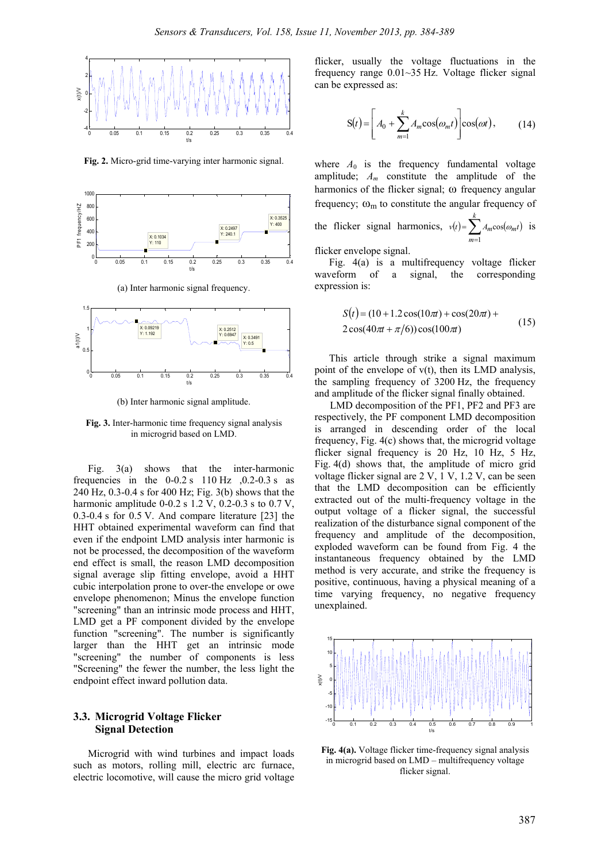

**Fig. 2.** Micro-grid time-varying inter harmonic signal.



(a) Inter harmonic signal frequency.



(b) Inter harmonic signal amplitude.

**Fig. 3.** Inter-harmonic time frequency signal analysis in microgrid based on LMD.

Fig. 3(a) shows that the inter-harmonic frequencies in the  $0-0.2$  s  $110$  Hz  $0.2-0.3$  s as 240 Hz, 0.3-0.4 s for 400 Hz; Fig. 3(b) shows that the harmonic amplitude  $0-0.2$  s  $1.2$  V,  $0.2-0.3$  s to  $0.7$  V, 0.3-0.4 s for 0.5 V. And compare literature [23] the HHT obtained experimental waveform can find that even if the endpoint LMD analysis inter harmonic is not be processed, the decomposition of the waveform end effect is small, the reason LMD decomposition signal average slip fitting envelope, avoid a HHT cubic interpolation prone to over-the envelope or owe envelope phenomenon; Minus the envelope function "screening" than an intrinsic mode process and HHT, LMD get a PF component divided by the envelope function "screening". The number is significantly larger than the HHT get an intrinsic mode "screening" the number of components is less "Screening" the fewer the number, the less light the endpoint effect inward pollution data.

# **3.3. Microgrid Voltage Flicker Signal Detection**

Microgrid with wind turbines and impact loads such as motors, rolling mill, electric arc furnace, electric locomotive, will cause the micro grid voltage flicker, usually the voltage fluctuations in the frequency range 0.01~35 Hz. Voltage flicker signal can be expressed as:

$$
S(t) = \left[ A_0 + \sum_{m=1}^{k} A_m \cos(\omega_m t) \right] \cos(\omega t), \quad (14)
$$

where  $A_0$  is the frequency fundamental voltage amplitude;  $A_m$  constitute the amplitude of the harmonics of the flicker signal; ω frequency angular frequency;  $\omega_{\rm m}$  to constitute the angular frequency of

the flicker signal harmonics,  $v(t) = \sum_{m=1} A_m \cos(\omega_m t)$ *k m*  $v(t) = \sum A_m \cos(\omega_m t)$ 1  $cos(\omega_{m}t)$  is

flicker envelope signal.

Fig. 4(a) is a multifrequency voltage flicker waveform of a signal, the corresponding expression is:

$$
S(t) = (10 + 1.2 \cos(10\pi) + \cos(20\pi) +2 \cos(40\pi + \pi/6)) \cos(100\pi)
$$
 (15)

This article through strike a signal maximum point of the envelope of v(t), then its LMD analysis, the sampling frequency of 3200 Hz, the frequency and amplitude of the flicker signal finally obtained.

LMD decomposition of the PF1, PF2 and PF3 are respectively, the PF component LMD decomposition is arranged in descending order of the local frequency, Fig. 4(c) shows that, the microgrid voltage flicker signal frequency is 20 Hz, 10 Hz, 5 Hz, Fig. 4(d) shows that, the amplitude of micro grid voltage flicker signal are 2 V, 1 V, 1.2 V, can be seen that the LMD decomposition can be efficiently extracted out of the multi-frequency voltage in the output voltage of a flicker signal, the successful realization of the disturbance signal component of the frequency and amplitude of the decomposition, exploded waveform can be found from Fig. 4 the instantaneous frequency obtained by the LMD method is very accurate, and strike the frequency is positive, continuous, having a physical meaning of a time varying frequency, no negative frequency unexplained.



**Fig. 4(a).** Voltage flicker time-frequency signal analysis in microgrid based on LMD – multifrequency voltage flicker signal.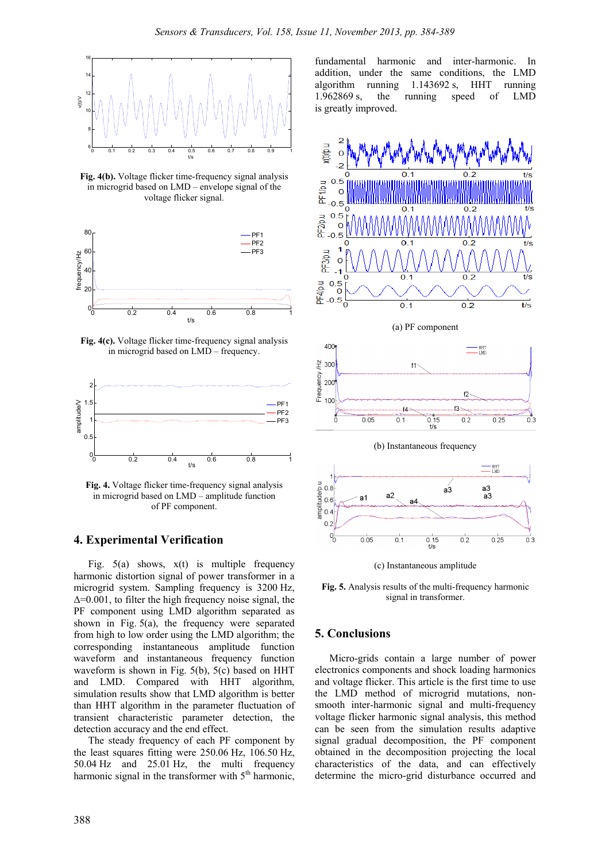

**Fig. 4(b).** Voltage flicker time-frequency signal analysis in microgrid based on LMD – envelope signal of the voltage flicker signal.



**Fig. 4(c).** Voltage flicker time-frequency signal analysis in microgrid based on LMD – frequency.



**Fig. 4.** Voltage flicker time-frequency signal analysis in microgrid based on LMD – amplitude function of PF component.

#### **4. Experimental Verification**

Fig.  $5(a)$  shows,  $x(t)$  is multiple frequency harmonic distortion signal of power transformer in a microgrid system. Sampling frequency is 3200 Hz, ∆=0.001, to filter the high frequency noise signal, the PF component using LMD algorithm separated as shown in Fig. 5(a), the frequency were separated from high to low order using the LMD algorithm; the corresponding instantaneous amplitude function waveform and instantaneous frequency function waveform is shown in Fig. 5(b), 5(c) based on HHT and LMD. Compared with HHT algorithm, simulation results show that LMD algorithm is better than HHT algorithm in the parameter fluctuation of transient characteristic parameter detection, the detection accuracy and the end effect.

The steady frequency of each PF component by the least squares fitting were 250.06 Hz, 106.50 Hz, 50.04 Hz and 25.01 Hz, the multi frequency harmonic signal in the transformer with  $5<sup>th</sup>$  harmonic, fundamental harmonic and inter-harmonic. In addition, under the same conditions, the LMD algorithm running 1.143692 s, HHT running 1.962869 s, the running speed of LMD is greatly improved.



**Fig. 5.** Analysis results of the multi-frequency harmonic signal in transformer.

#### **5. Conclusions**

Micro-grids contain a large number of power electronics components and shock loading harmonics and voltage flicker. This article is the first time to use the LMD method of microgrid mutations, nonsmooth inter-harmonic signal and multi-frequency voltage flicker harmonic signal analysis, this method can be seen from the simulation results adaptive signal gradual decomposition, the PF component obtained in the decomposition projecting the local characteristics of the data, and can effectively determine the micro-grid disturbance occurred and